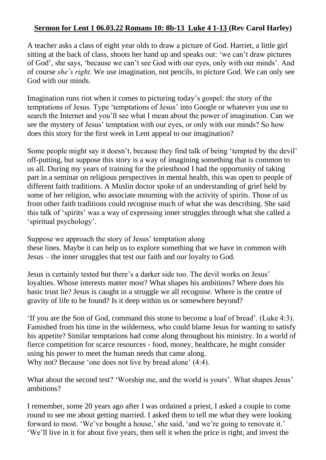## **Sermon for Lent 1 06.03.22 Romans 10: 8b-13 Luke 4 1-13 (Rev Carol Harley)**

A teacher asks a class of eight year olds to draw a picture of God. Harriet, a little girl sitting at the back of class, shoots her hand up and speaks out: 'we can't draw pictures of God', she says, 'because we can't see God with our eyes, only with our minds'. And of course *she's right*. We use imagination, not pencils, to picture God. We can only see God with our minds.

Imagination runs riot when it comes to picturing today's gospel: the story of the temptations of Jesus. Type 'temptations of Jesus' into Google or whatever you use to search the Internet and you'll see what I mean about the power of imagination. Can we see the mystery of Jesus' temptation with our eyes, or only with our minds? So how does this story for the first week in Lent appeal to our imagination?

Some people might say it doesn't, because they find talk of being 'tempted by the devil' off-putting, but suppose this story is a way of imagining something that is common to us all. During my years of training for the priesthood I had the opportunity of taking part in a seminar on religious perspectives in mental health, this was open to people of different faith traditions. A Muslin doctor spoke of an understanding of grief held by some of her religion, who associate mourning with the activity of spirits. Those of us from other faith traditions could recognise much of what she was describing. She said this talk of 'spirits' was a way of expressing inner struggles through what she called a 'spiritual psychology'.

Suppose we approach the story of Jesus' temptation along these lines. Maybe it can help us to explore something that we have in common with Jesus – the inner struggles that test our faith and our loyalty to God.

Jesus is certainly tested but there's a darker side too. The devil works on Jesus' loyalties. Whose interests matter most? What shapes his ambitions? Where does his basic trust lie? Jesus is caught in a struggle we all recognise. Where is the centre of gravity of life to be found? Is it deep within us or somewhere beyond?

'If you are the Son of God, command this stone to become a loaf of bread'. (Luke 4:3). Famished from his time in the wilderness, who could blame Jesus for wanting to satisfy his appetite? Similar temptations had come along throughout his ministry. In a world of fierce competition for scarce resources - food, money, healthcare, he might consider using his power to meet the human needs that came along. Why not? Because 'one does not live by bread alone' (4:4).

What about the second test? 'Worship me, and the world is yours'. What shapes Jesus' ambitions?

I remember, some 20 years ago after I was ordained a priest, I asked a couple to come round to see me about getting married. I asked them to tell me what they were looking forward to most. 'We've bought a house,' she said, 'and we're going to renovate it.' 'We'll live in it for about five years, then sell it when the price is right, and invest the